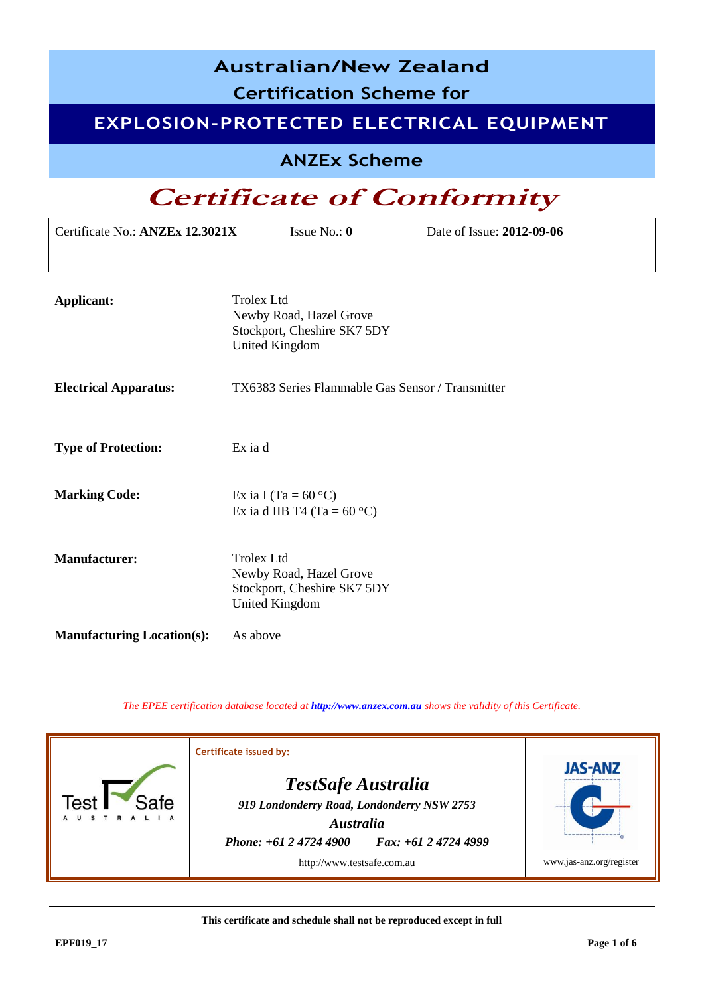| <b>Australian/New Zealand</b><br><b>Certification Scheme for</b> |                                                                                                      |  |  |  |
|------------------------------------------------------------------|------------------------------------------------------------------------------------------------------|--|--|--|
|                                                                  | EXPLOSION-PROTECTED ELECTRICAL EQUIPMENT                                                             |  |  |  |
|                                                                  | <b>ANZEx Scheme</b>                                                                                  |  |  |  |
|                                                                  | <b>Certificate of Conformity</b>                                                                     |  |  |  |
| Certificate No.: ANZEx 12.3021X                                  | Issue No.: $\mathbf{0}$<br>Date of Issue: 2012-09-06                                                 |  |  |  |
| <b>Applicant:</b>                                                | <b>Trolex Ltd</b><br>Newby Road, Hazel Grove<br>Stockport, Cheshire SK7 5DY<br><b>United Kingdom</b> |  |  |  |
| <b>Electrical Apparatus:</b>                                     | TX6383 Series Flammable Gas Sensor / Transmitter                                                     |  |  |  |
| <b>Type of Protection:</b>                                       | Ex ia d                                                                                              |  |  |  |
| <b>Marking Code:</b>                                             | Ex ia I (Ta = $60^{\circ}$ C)<br>Ex ia d IIB T4 (Ta = $60^{\circ}$ C)                                |  |  |  |
| <b>Manufacturer:</b>                                             | Trolex Ltd<br>Newby Road, Hazel Grove<br>Stockport, Cheshire SK7 5DY<br><b>United Kingdom</b>        |  |  |  |
| <b>Manufacturing Location(s):</b>                                | As above                                                                                             |  |  |  |

*The EPEE certification database located at [http://www.anzex.com.au](http://www.anzex.com.au/) shows the validity of this Certificate.*

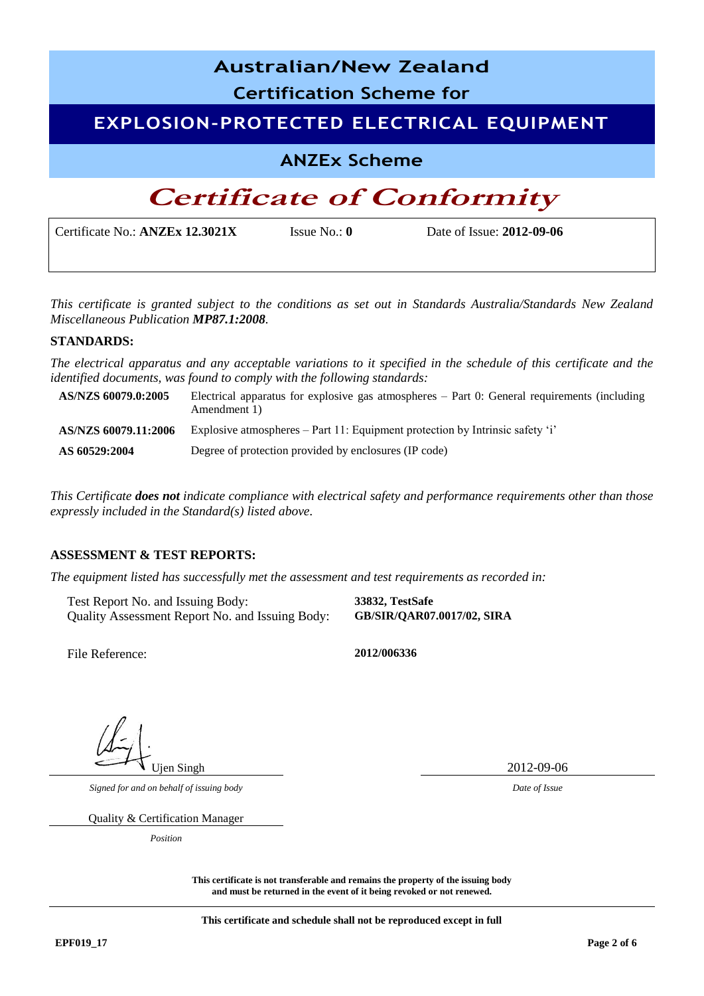| <b>Australian/New Zealand</b><br><b>Certification Scheme for</b> |                         |                           |  |
|------------------------------------------------------------------|-------------------------|---------------------------|--|
| <b>EXPLOSION-PROTECTED ELECTRICAL EQUIPMENT</b>                  |                         |                           |  |
| <b>ANZEx Scheme</b>                                              |                         |                           |  |
| <b>Certificate of Conformity</b>                                 |                         |                           |  |
| Certificate No.: ANZEx 12.3021X                                  | Issue No.: $\mathbf{0}$ | Date of Issue: 2012-09-06 |  |

*This certificate is granted subject to the conditions as set out in Standards Australia/Standards New Zealand Miscellaneous Publication MP87.1:2008.*

#### **STANDARDS:**

*The electrical apparatus and any acceptable variations to it specified in the schedule of this certificate and the identified documents, was found to comply with the following standards:* 

| AS/NZS 60079.0:2005  | Electrical apparatus for explosive gas atmospheres $-$ Part 0: General requirements (including<br>Amendment 1) |
|----------------------|----------------------------------------------------------------------------------------------------------------|
| AS/NZS 60079.11:2006 | Explosive atmospheres $-$ Part 11: Equipment protection by Intrinsic safety 'i'                                |
| AS 60529:2004        | Degree of protection provided by enclosures (IP code)                                                          |

*This Certificate does not indicate compliance with electrical safety and performance requirements other than those expressly included in the Standard(s) listed above.*

### **ASSESSMENT & TEST REPORTS:**

*The equipment listed has successfully met the assessment and test requirements as recorded in:* 

Test Report No. and Issuing Body: 33832, TestSafe<br>Quality Assessment Report No. and Issuing Body: GB/SIR/QAR07.0017/02, SIRA Quality Assessment Report No. and Issuing Body:

File Reference: **2012/006336**

Ujen Singh 2012-09-06

*Signed for and on behalf of issuing body Date of Issue*

Quality & Certification Manager

*Position*

**This certificate is not transferable and remains the property of the issuing body and must be returned in the event of it being revoked or not renewed.**

**This certificate and schedule shall not be reproduced except in full**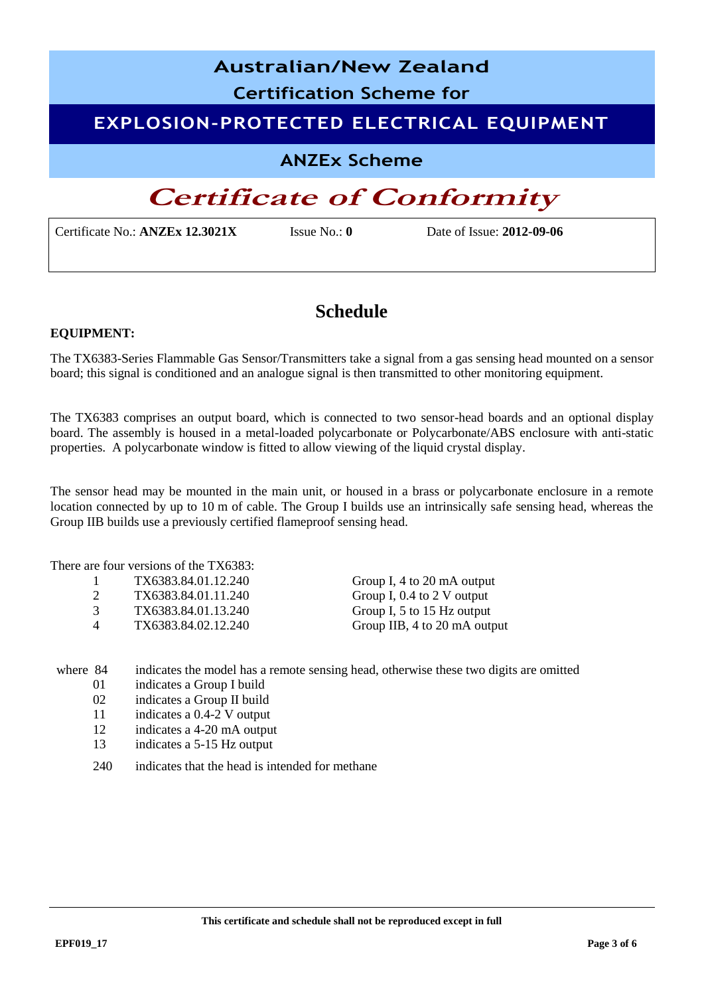# **Australian/New Zealand Certification Scheme for EXPLOSION-PROTECTED ELECTRICAL EQUIPMENT ANZEx Scheme**

## **Certificate of Conformity**

Certificate No.: **ANZEx 12.3021X** Issue No.: **0** Date of Issue: **2012-09-06**

## **Schedule**

### **EQUIPMENT:**

The TX6383-Series Flammable Gas Sensor/Transmitters take a signal from a gas sensing head mounted on a sensor board; this signal is conditioned and an analogue signal is then transmitted to other monitoring equipment.

The TX6383 comprises an output board, which is connected to two sensor-head boards and an optional display board. The assembly is housed in a metal-loaded polycarbonate or Polycarbonate/ABS enclosure with anti-static properties. A polycarbonate window is fitted to allow viewing of the liquid crystal display.

The sensor head may be mounted in the main unit, or housed in a brass or polycarbonate enclosure in a remote location connected by up to 10 m of cable. The Group I builds use an intrinsically safe sensing head, whereas the Group IIB builds use a previously certified flameproof sensing head.

There are four versions of the TX6383:

|   | TX6383.84.01.12.240 | Group I, 4 to 20 mA output   |
|---|---------------------|------------------------------|
|   | TX6383.84.01.11.240 | Group I, $0.4$ to 2 V output |
|   | TX6383.84.01.13.240 | Group I, 5 to 15 Hz output   |
| Δ | TX6383.84.02.12.240 | Group IIB, 4 to 20 mA output |

where 84 indicates the model has a remote sensing head, otherwise these two digits are omitted

- 01 indicates a Group I build
- 02 indicates a Group II build
- 11 indicates a 0.4-2 V output
- 12 indicates a 4-20 mA output
- 13 indicates a 5-15 Hz output
- 240 indicates that the head is intended for methane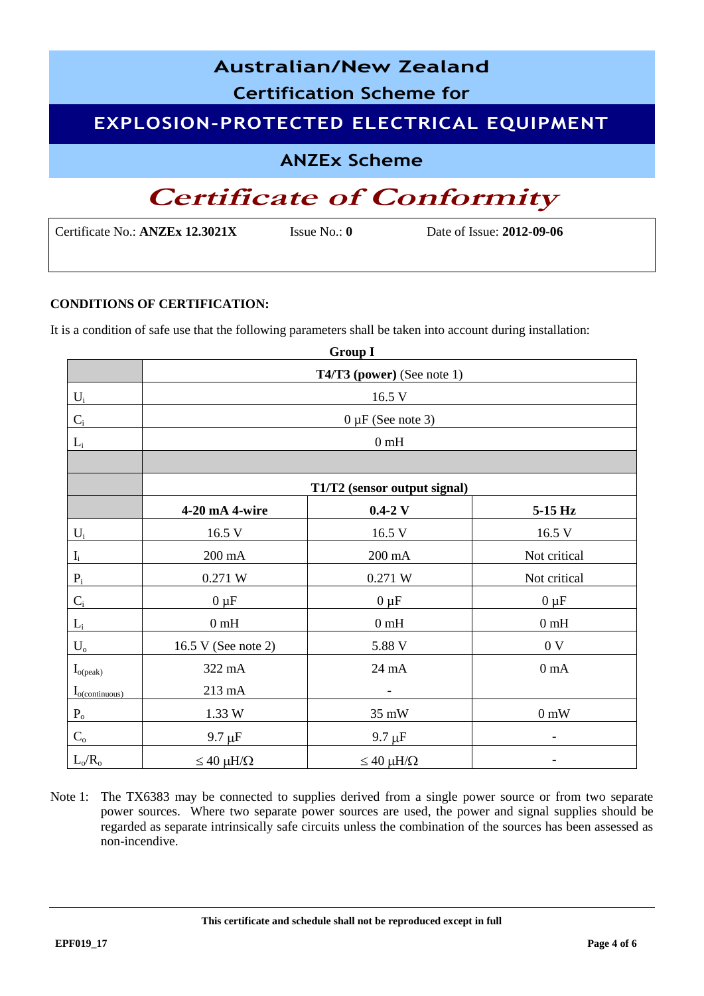| <b>Australian/New Zealand</b>                   |
|-------------------------------------------------|
| <b>Certification Scheme for</b>                 |
| <b>EXPLOSION-PROTECTED ELECTRICAL EQUIPMENT</b> |
| <b>ANZEx Scheme</b>                             |
| <b>Certificate of Conformity</b>                |

| <b>CONDITIONS OF CERTIFICATION:</b> |
|-------------------------------------|

It is a condition of safe use that the following parameters shall be taken into account during installation:

Certificate No.: **ANZEx 12.3021X** Issue No.: **0** Date of Issue: **2012-09-06**

|                         |                              | <b>Group I</b>         |                  |  |
|-------------------------|------------------------------|------------------------|------------------|--|
|                         | T4/T3 (power) (See note 1)   |                        |                  |  |
| $\mathbf{U}_\mathrm{i}$ | 16.5 V                       |                        |                  |  |
| $C_i$                   |                              | $0 \mu F$ (See note 3) |                  |  |
| $L_i$                   |                              | 0 <sub>m</sub> H       |                  |  |
|                         |                              |                        |                  |  |
|                         | T1/T2 (sensor output signal) |                        |                  |  |
|                         | 4-20 mA 4-wire               | $0.4 - 2$ V            | 5-15 Hz          |  |
| $U_i$                   | 16.5 V                       | 16.5 V                 | 16.5 V           |  |
| $\mathbf{I}_i$          | $200 \text{ mA}$             | $200 \text{ mA}$       | Not critical     |  |
| $\mathbf{P}_\mathrm{i}$ | 0.271 W                      | 0.271 W                | Not critical     |  |
| $C_{\rm i}$             | $0 \mu F$                    | $0 \mu F$              | $0 \mu F$        |  |
| $L_i$                   | 0 <sub>m</sub> H             | 0 <sub>m</sub> H       | 0 <sub>m</sub> H |  |
| $\mathbf{U}_{\text{o}}$ | 16.5 V (See note 2)          | 5.88 V                 | 0 <sub>V</sub>   |  |
| $I_{o (peak)}$          | 322 mA                       | 24 mA                  | 0 <sub>m</sub> A |  |
| $I_{o(continuous)}$     | 213 mA                       |                        |                  |  |
| $P_{o}$                 | 1.33 W                       | 35 mW                  | 0 mW             |  |
| $C_{\rm o}$             | $9.7 \mu F$                  | $9.7 \mu F$            |                  |  |
| $L_o/R_o$               | $\leq 40 \mu H/\Omega$       | $\leq 40 \mu H/\Omega$ |                  |  |

Note 1: The TX6383 may be connected to supplies derived from a single power source or from two separate power sources. Where two separate power sources are used, the power and signal supplies should be regarded as separate intrinsically safe circuits unless the combination of the sources has been assessed as non-incendive.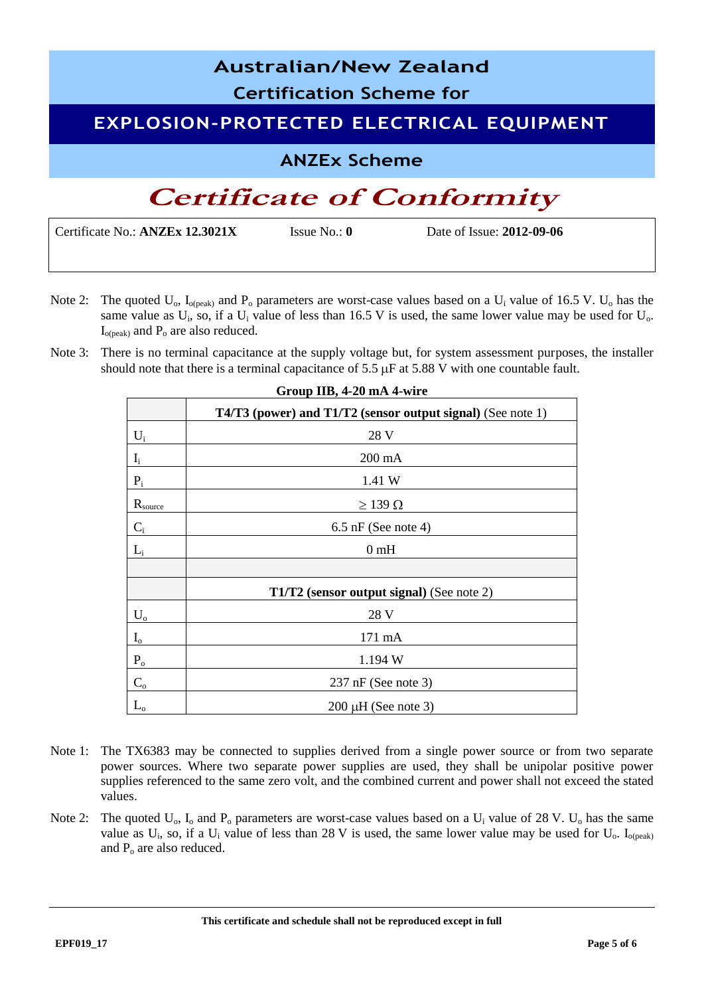## **Australian/New Zealand Certification Scheme for EXPLOSION-PROTECTED ELECTRICAL EQUIPMENT ANZEx Scheme Certificate of Conformity**

Certificate No.: **ANZEx 12.3021X** Issue No.: **0** Date of Issue: **2012-09-06**

- Note 2: The quoted  $U_o$ ,  $I_{o(peak)}$  and  $P_o$  parameters are worst-case values based on a  $U_i$  value of 16.5 V.  $U_o$  has the same value as  $U_i$ , so, if a  $U_i$  value of less than 16.5 V is used, the same lower value may be used for  $U_o$ .  $I_{o (peak)}$  and  $P_o$  are also reduced.
- Note 3: There is no terminal capacitance at the supply voltage but, for system assessment purposes, the installer should note that there is a terminal capacitance of 5.5  $\mu$ F at 5.88 V with one countable fault.

|                         | T4/T3 (power) and T1/T2 (sensor output signal) (See note 1) |
|-------------------------|-------------------------------------------------------------|
| $U_i$                   | 28 V                                                        |
| $\mathbf{I}_\mathrm{i}$ | $200 \text{ mA}$                                            |
| $P_i$                   | 1.41 W                                                      |
| $R_{\text{source}}$     | $\geq$ 139 $\Omega$                                         |
| $C_i$                   | $6.5$ nF (See note 4)                                       |
| $L_i$                   | 0 <sub>m</sub> H                                            |
|                         |                                                             |
|                         | T1/T2 (sensor output signal) (See note 2)                   |
| $U_{o}$                 | 28 V                                                        |
| $I_{o}$                 | 171 mA                                                      |
| $P_{o}$                 | 1.194 W                                                     |
| $C_{\rm o}$             | $237$ nF (See note 3)                                       |
|                         | $200 \mu H$ (See note 3)                                    |

### **Group IIB, 4-20 mA 4-wire**

- Note 1: The TX6383 may be connected to supplies derived from a single power source or from two separate power sources. Where two separate power supplies are used, they shall be unipolar positive power supplies referenced to the same zero volt, and the combined current and power shall not exceed the stated values.
- Note 2: The quoted  $U_0$ ,  $I_0$  and  $P_0$  parameters are worst-case values based on a  $U_i$  value of 28 V.  $U_0$  has the same value as  $U_i$ , so, if a  $U_i$  value of less than 28 V is used, the same lower value may be used for  $U_o$ . I<sub>o(peak)</sub> and  $P_0$  are also reduced.